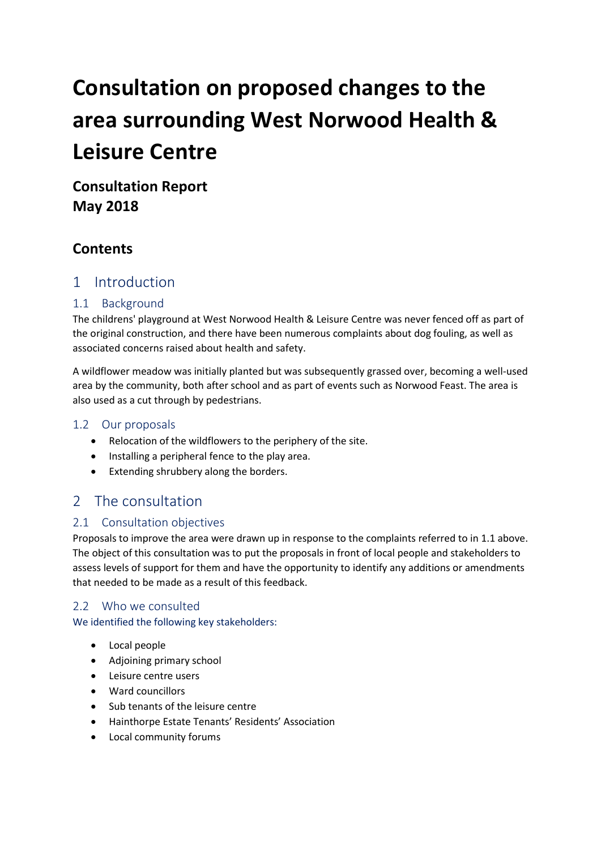# **Consultation on proposed changes to the area surrounding West Norwood Health & Leisure Centre**

**Consultation Report May 2018**

# **Contents**

# 1 Introduction

## 1.1 Background

The childrens' playground at West Norwood Health & Leisure Centre was never fenced off as part of the original construction, and there have been numerous complaints about dog fouling, as well as associated concerns raised about health and safety.

A wildflower meadow was initially planted but was subsequently grassed over, becoming a well-used area by the community, both after school and as part of events such as Norwood Feast. The area is also used as a cut through by pedestrians.

## 1.2 Our proposals

- Relocation of the wildflowers to the periphery of the site.
- Installing a peripheral fence to the play area.
- Extending shrubbery along the borders.

# 2 The consultation

## 2.1 Consultation objectives

Proposals to improve the area were drawn up in response to the complaints referred to in 1.1 above. The object of this consultation was to put the proposals in front of local people and stakeholders to assess levels of support for them and have the opportunity to identify any additions or amendments that needed to be made as a result of this feedback.

## 2.2 Who we consulted

We identified the following key stakeholders:

- Local people
- Adjoining primary school
- Leisure centre users
- Ward councillors
- Sub tenants of the leisure centre
- Hainthorpe Estate Tenants' Residents' Association
- Local community forums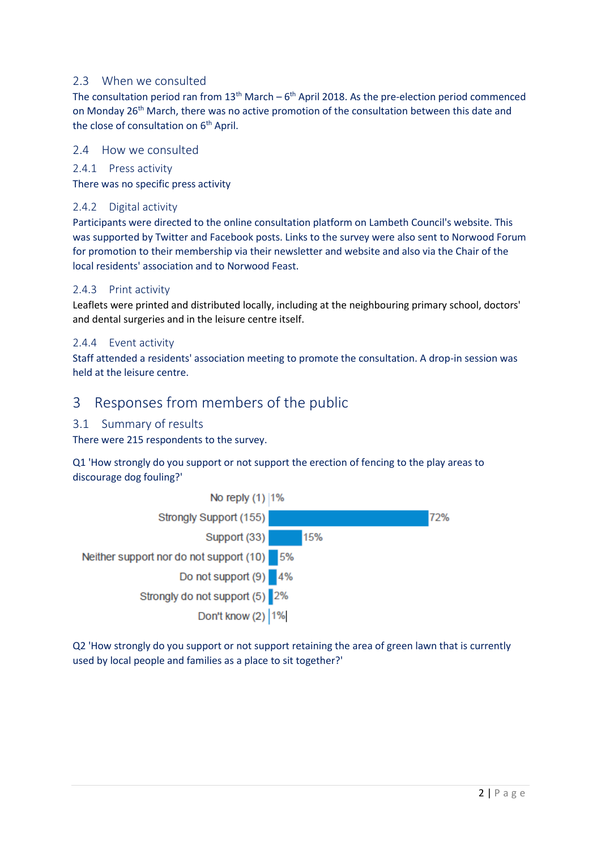#### 2.3 When we consulted

The consultation period ran from  $13<sup>th</sup>$  March – 6<sup>th</sup> April 2018. As the pre-election period commenced on Monday 26<sup>th</sup> March, there was no active promotion of the consultation between this date and the close of consultation on 6<sup>th</sup> April.

#### 2.4 How we consulted

2.4.1 Press activity

There was no specific press activity

#### 2.4.2 Digital activity

Participants were directed to the online consultation platform on Lambeth Council's website. This was supported by Twitter and Facebook posts. Links to the survey were also sent to Norwood Forum for promotion to their membership via their newsletter and website and also via the Chair of the local residents' association and to Norwood Feast.

#### 2.4.3 Print activity

Leaflets were printed and distributed locally, including at the neighbouring primary school, doctors' and dental surgeries and in the leisure centre itself.

#### 2.4.4 Event activity

Staff attended a residents' association meeting to promote the consultation. A drop-in session was held at the leisure centre.

# 3 Responses from members of the public

#### 3.1 Summary of results

There were 215 respondents to the survey.

Q1 'How strongly do you support or not support the erection of fencing to the play areas to discourage dog fouling?'



Q2 'How strongly do you support or not support retaining the area of green lawn that is currently used by local people and families as a place to sit together?'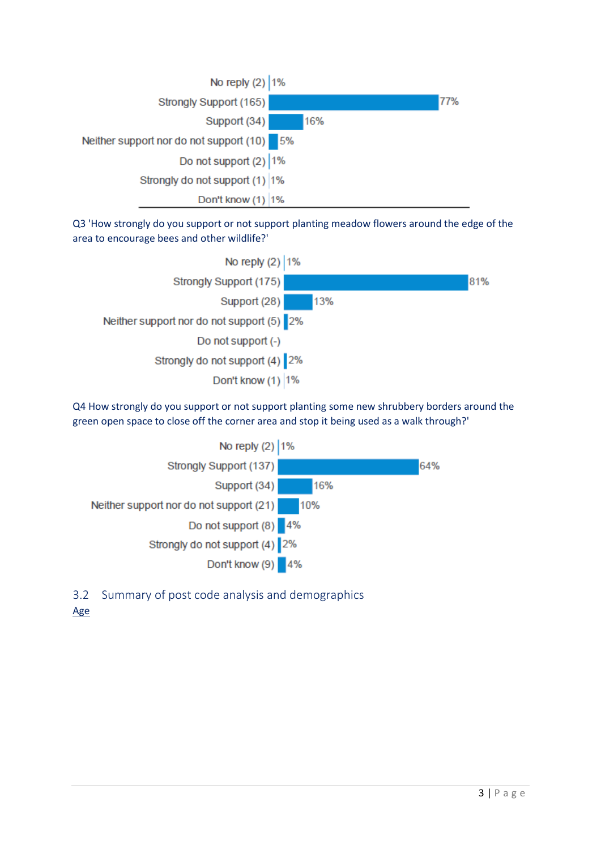

Q3 'How strongly do you support or not support planting meadow flowers around the edge of the area to encourage bees and other wildlife?'



Q4 How strongly do you support or not support planting some new shrubbery borders around the green open space to close off the corner area and stop it being used as a walk through?'



3.2 Summary of post code analysis and demographics

## Age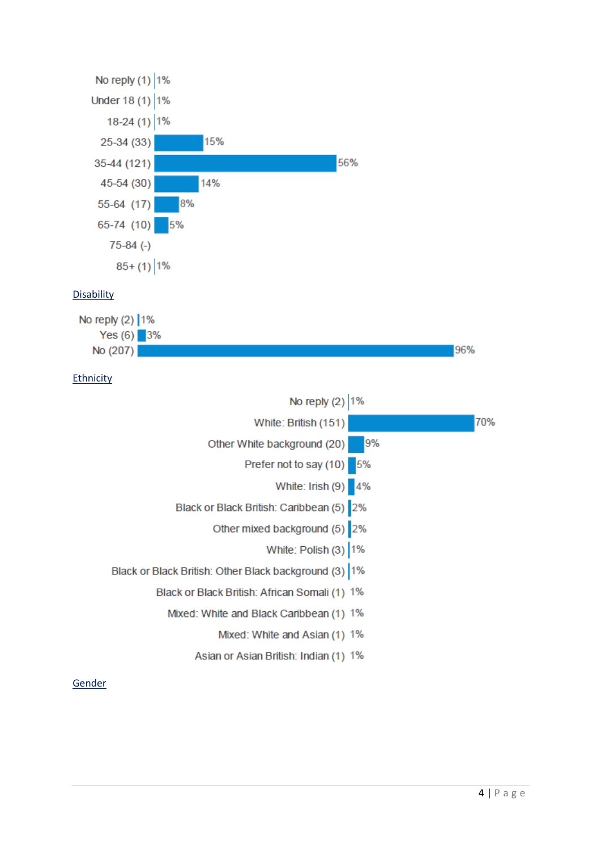

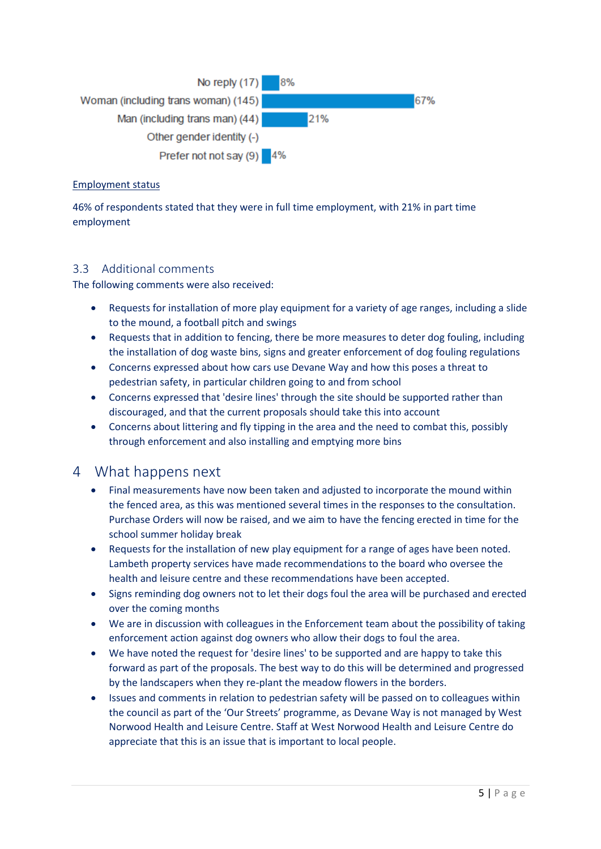

#### Employment status

46% of respondents stated that they were in full time employment, with 21% in part time employment

## 3.3 Additional comments

The following comments were also received:

- Requests for installation of more play equipment for a variety of age ranges, including a slide to the mound, a football pitch and swings
- Requests that in addition to fencing, there be more measures to deter dog fouling, including the installation of dog waste bins, signs and greater enforcement of dog fouling regulations
- Concerns expressed about how cars use Devane Way and how this poses a threat to pedestrian safety, in particular children going to and from school
- Concerns expressed that 'desire lines' through the site should be supported rather than discouraged, and that the current proposals should take this into account
- Concerns about littering and fly tipping in the area and the need to combat this, possibly through enforcement and also installing and emptying more bins

# 4 What happens next

- Final measurements have now been taken and adjusted to incorporate the mound within the fenced area, as this was mentioned several times in the responses to the consultation. Purchase Orders will now be raised, and we aim to have the fencing erected in time for the school summer holiday break
- Requests for the installation of new play equipment for a range of ages have been noted. Lambeth property services have made recommendations to the board who oversee the health and leisure centre and these recommendations have been accepted.
- Signs reminding dog owners not to let their dogs foul the area will be purchased and erected over the coming months
- We are in discussion with colleagues in the Enforcement team about the possibility of taking enforcement action against dog owners who allow their dogs to foul the area.
- We have noted the request for 'desire lines' to be supported and are happy to take this forward as part of the proposals. The best way to do this will be determined and progressed by the landscapers when they re-plant the meadow flowers in the borders.
- Issues and comments in relation to pedestrian safety will be passed on to colleagues within the council as part of the 'Our Streets' programme, as Devane Way is not managed by West Norwood Health and Leisure Centre. Staff at West Norwood Health and Leisure Centre do appreciate that this is an issue that is important to local people.